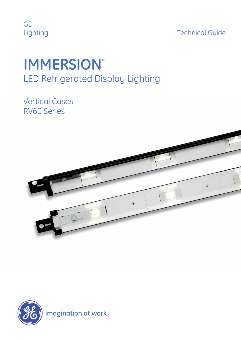

Technical Guide

# **IMMERSION**™ LED Refrigerated Display Lighting

Vertical Cases RV60 Series



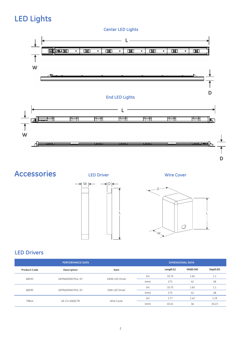### **LED Lights**

**Center LED Lights**



**Accessories**







#### **LED Drivers**

|                     | <b>PERFORMANCE DATA</b> |                 | <b>DIMENSIONAL DATA</b> |            |           |       |  |
|---------------------|-------------------------|-----------------|-------------------------|------------|-----------|-------|--|
| <b>Product Code</b> | Description             | Item            |                         | Length (L) | Width (W) |       |  |
| 68593               | GEPS6000NCMUL-SY        | 100W LED Driver | (in)                    | 10.75      | 1.65      | 1.1   |  |
|                     |                         |                 | (mm)                    | 273        | 42        | 28    |  |
|                     | GEPS6500NCMUL-SY        |                 | (in)                    | 10.75      | 1.65      | 1.1   |  |
| 68595               |                         | 50W LED Driver  | (mm)                    | 273        | 42        | 28    |  |
|                     | GE-CV-4060CTR           |                 | (in)                    | 1.77       | 1.42      | 1.19  |  |
| 79814               |                         | Wire Cover      | (mm)                    | 45.01      | 36        | 30.23 |  |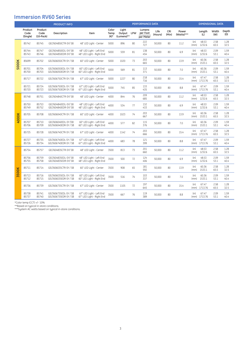#### **Immersion RV60 Series**

|       | <b>PRODUCT INFO</b>         |                                    |                                                |                                                       | <b>PERFORMANCE DATA</b> |                                   |    |                                 |                 |              | <b>DIMENSIONAL DATA</b> |              |                       |              |              |
|-------|-----------------------------|------------------------------------|------------------------------------------------|-------------------------------------------------------|-------------------------|-----------------------------------|----|---------------------------------|-----------------|--------------|-------------------------|--------------|-----------------------|--------------|--------------|
|       | Product<br>Code<br>(Single) | Product<br>Code<br>$(10$ -Pack $)$ | Description                                    | Item                                                  | Color<br>Temp<br>(K)*   | Light<br>Output LPW<br>(Lumens)** |    | Lumens<br>per Foot<br>per Meter | Life<br>(Hours) | CRI<br>(Min) | Power<br>(Watts)***     |              | Length<br>(L)         | Width<br>(W) | Depth<br>(D) |
| 5000K | 85742                       | 85745                              | GELT604850CTR-SY/SB                            | 48" LED Light - Center                                | 5000                    | 896                               | 80 | 222<br>727                      | 50.000          | 80           | 11.2                    | (in)<br>(mm) | 48.53<br>1232.6       | 2.58<br>65.5 | 1.28<br>32.5 |
|       | 85744<br>85743              | 85747<br>85746                     | GELT604850EDL-SY/SB<br>GELT604850EDR-SY/SB     | 48" LED Light - Left End<br>48" LED Light - Right End | 5000                    | 559                               | 81 | 138<br>454                      | 50,000          | 80           | 6.9                     | (in)<br>(mm) | 48.53<br>1232.6       | 2.09<br>53.1 | 1.59<br>40.4 |
|       | 85699                       | 85702                              | GELT606050CTR-SY / SB                          | 60" LED Light - Center                                | 5000                    | 1020                              | 73 | 203<br>665                      | 50,000          | 80           | 13.9                    | (in)<br>(mm) | 60.36<br>1533.1       | 2.58<br>65.5 | 1.28<br>32.5 |
|       | 85701<br>85700              | 85704<br>85703                     | GELT606050EDL-SY / SB<br>GELT606050EDR-SY / SB | 60" LED Light - Left End<br>60" LED Light - Right End | 5000                    | 569                               | 81 | 113<br>371                      | 50.000          | 80           | 7.0                     | (in)<br>(mm) | 60.36<br>1533.1       | 2.09<br>53.1 | 1.59<br>40.4 |
|       | 85717                       | 85722                              | GELT606750CTR-SY / SB                          | 67" LED Light - Center                                | 5000                    | 1227                              | 80 | 218<br>716                      | 50,000          | 80           | 15.4                    | (in)<br>(mm) | 67.47<br>1713.76      | 2.58<br>65.5 | 1.28<br>32.5 |
|       | 85721<br>85720              | 85724<br>85723                     | GELT606750EDL-SY / SB<br>GELT606750EDR-SY / SB | 67" LED Light - Left End<br>67" LED Light - Right End | 5000                    | 745                               | 85 | 133<br>435                      | 50,000          | 80           | 8.8                     | (in)<br>(mm) | 67.47<br>1713.76      | 2.09<br>53.1 | 1.59<br>40.4 |
| 4000K | 85748                       | 85751                              | GELT604840CTR-SY/SB                            | 48" LED Light - Center                                | 4000                    | 844                               | 76 | 209<br>685                      | 50,000          | 80           | 11.2                    | (in)<br>(mm) | 48.53<br>1232.6       | 2.58<br>65.5 | 1.28<br>32.5 |
|       | 85750<br>85749              | 85753<br>85752                     | GELT604840EDL-SY/SB<br>GELT604840EDR-SY/SB     | 48" LED Light - Left End<br>48" LED Light - Right End | 4000                    | 534                               | 77 | 132<br>433                      | 50.000          | 80           | 6.9                     | (in)<br>(mm) | 48.53<br>1232.6       | 2.09<br>53.1 | 1.59<br>40.4 |
|       | 85705                       | 85708                              | GELT606040CTR-SY / SB                          | 60" LED Light - Center                                | 4000                    | 1023                              | 74 | 203<br>667                      | 50,000          | 80           | 13.9                    | (in)<br>(mm) | 60.36<br>1533.1       | 2.58<br>65.5 | 1.28<br>32.5 |
|       | 85707<br>85706              | 85710<br>85709                     | GELT606040EDL-SY/SB<br>GELT606040EDR-SY / SB   | 60" LED Light - Left End<br>60" LED Light - Right End | 4000                    | 577                               | 82 | 115<br>376                      | 50.000          | 80           | 7.0                     | (in)<br>(mm) | 60.36<br>1533.1       | 2.09<br>53.1 | 1.59<br>40.4 |
|       | 85725                       | 85728                              | GELT606740CTR-SY / SB                          | 67" LED Light - Center                                | 4000                    | 1142                              | 74 | 203<br>666                      | 50.000          | 80           | 15.4                    | (in)<br>(mm) | 67.47<br>1713.76      | 2.58<br>65.5 | 1.28<br>32.5 |
|       | 85727<br>85726              | 85735<br>85734                     | GELT606740EDL-SY / SB<br>GELT606740EDR-SY / SB | 67" LED Light - Left End<br>67" LED Light - Right End | 4000                    | 683                               | 78 | 121<br>399                      | 50.000          | 80           | 8.8                     | (in)<br>(mm) | 67.47<br>1713.76      | 2.09<br>53.1 | 1.59<br>40.4 |
| 3500K | 85754                       | 85757                              | GELT604835CTR-SY/SB                            | 48" LED Light - Center                                | 3500                    | 813                               | 73 | 201<br>660                      | 50,000          | 80           | 11.2                    | (in)<br>(mm) | 48.53<br>1232.6       | 2.58<br>65.5 | 1.28<br>32.5 |
|       | 85756<br>85755              | 85759<br>85758                     | GELT604835EDL-SY/SB<br>GELT604835EDR-SY/SB     | 48" LED Light - Left End<br>48" LED Light - Right End | 3500                    | 500                               | 72 | 124<br>406                      | 50,000          | 80           | 6.9                     | (in)<br>(mm) | 48.53<br>1232.6       | 2.09<br>53.1 | 1.59<br>40.4 |
|       | 85711                       | 85714                              | GELT606035CTR-SY / SB                          | 60" LED Light - Center                                | 3500                    | 908                               | 65 | 181<br>592                      | 50.000          | 80           | 13.9                    | (in)<br>(mm) | 60.36<br>1533.1       | 2.58<br>65.5 | 1.28<br>32.5 |
|       | 85713<br>85712              | 85716<br>85715                     | GELT606035EDL-SY / SB<br>GELT606035EDR-SY / SB | 60" LED Light - Left End<br>60" LED Light - Right End | 3500                    | 516                               | 74 | 103<br>337                      | 50.000          | 80           | 7.0                     | (in)<br>(mm) | 60.36<br>1533.1       | 2.09<br>53.1 | 1.59<br>40.4 |
|       | 85736                       | 85739                              | GELT606735CTR-SY / SB                          | 67" LED Light - Center                                | 3500                    | 1105                              | 72 | 197<br>645                      | 50,000          | 80           | 15.4                    | (in)<br>(mm) | 67.47<br>1713.76      | 2.58<br>65.5 | 1.28<br>32.5 |
|       | 85738<br>85737              | 85741<br>85740                     | GELT606735EDL-SY / SB<br>GELT606735EDR-SY / SB | 67" LED Light - Left End<br>67" LED Light - Right End | 3500                    | 667                               | 76 | 119<br>389                      | 50.000          | 80           | 8.8                     | (in)         | 67.47<br>(mm) 1713.76 | 2.09<br>53.1 | 1.59<br>40.4 |

\*Color temp (CCT) +/- 10%

\*\*Based on typical in-store conditions.

\*\*\*System AC watts based on typical in-store conditions.